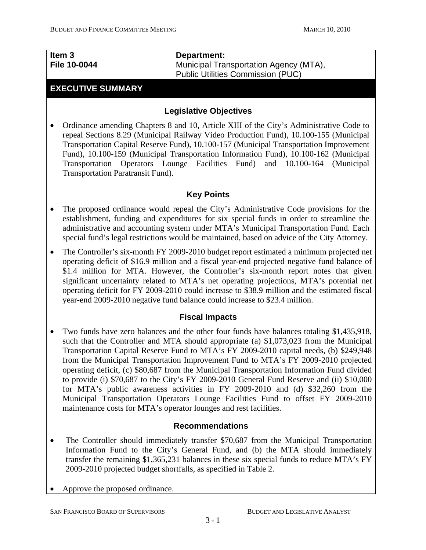| Item 3              | Department:                              |
|---------------------|------------------------------------------|
| <b>File 10-0044</b> | Municipal Transportation Agency (MTA),   |
|                     | <b>Public Utilities Commission (PUC)</b> |

#### **EXECUTIVE SUMMARY**

#### **Legislative Objectives**

• Ordinance amending Chapters 8 and 10, Article XIII of the City's Administrative Code to repeal Sections 8.29 (Municipal Railway Video Production Fund), 10.100-155 (Municipal Transportation Capital Reserve Fund), 10.100-157 (Municipal Transportation Improvement Fund), 10.100-159 (Municipal Transportation Information Fund), 10.100-162 (Municipal Transportation Operators Lounge Facilities Fund) and 10.100-164 (Municipal Transportation Paratransit Fund).

#### **Key Points**

- The proposed ordinance would repeal the City's Administrative Code provisions for the establishment, funding and expenditures for six special funds in order to streamline the administrative and accounting system under MTA's Municipal Transportation Fund. Each special fund's legal restrictions would be maintained, based on advice of the City Attorney.
- The Controller's six-month FY 2009-2010 budget report estimated a minimum projected net operating deficit of \$16.9 million and a fiscal year-end projected negative fund balance of \$1.4 million for MTA. However, the Controller's six-month report notes that given significant uncertainty related to MTA's net operating projections, MTA's potential net operating deficit for FY 2009-2010 could increase to \$38.9 million and the estimated fiscal year-end 2009-2010 negative fund balance could increase to \$23.4 million.

#### **Fiscal Impacts**

• Two funds have zero balances and the other four funds have balances totaling \$1,435,918, such that the Controller and MTA should appropriate (a) \$1,073,023 from the Municipal Transportation Capital Reserve Fund to MTA's FY 2009-2010 capital needs, (b) \$249,948 from the Municipal Transportation Improvement Fund to MTA's FY 2009-2010 projected operating deficit, (c) \$80,687 from the Municipal Transportation Information Fund divided to provide (i) \$70,687 to the City's FY 2009-2010 General Fund Reserve and (ii) \$10,000 for MTA's public awareness activities in FY 2009-2010 and (d) \$32,260 from the Municipal Transportation Operators Lounge Facilities Fund to offset FY 2009-2010 maintenance costs for MTA's operator lounges and rest facilities.

#### **Recommendations**

- The Controller should immediately transfer \$70,687 from the Municipal Transportation Information Fund to the City's General Fund, and (b) the MTA should immediately transfer the remaining \$1,365,231 balances in these six special funds to reduce MTA's FY 2009-2010 projected budget shortfalls, as specified in Table 2.
- Approve the proposed ordinance.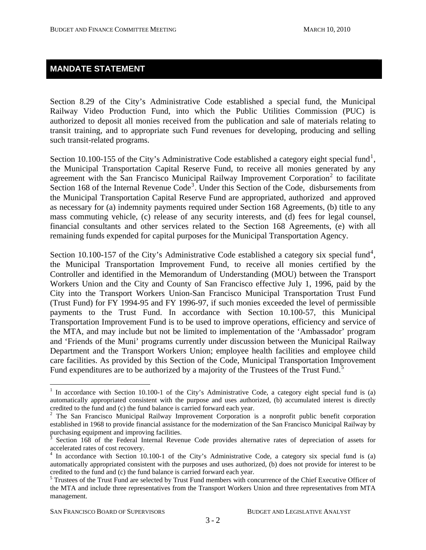## **MANDATE STATEMENT**

Section 8.29 of the City's Administrative Code established a special fund, the Municipal Railway Video Production Fund, into which the Public Utilities Commission (PUC) is authorized to deposit all monies received from the publication and sale of materials relating to transit training, and to appropriate such Fund revenues for developing, producing and selling such transit-related programs.

Section [1](#page-1-0)0.100-155 of the City's Administrative Code established a category eight special fund<sup>1</sup>, the Municipal Transportation Capital Reserve Fund, to receive all monies generated by any agreement with the San Francisco Municipal Railway Improvement Corporation<sup>[2](#page-1-1)</sup> to facilitate Section 168 of the Internal Revenue Code<sup>[3](#page-1-2)</sup>. Under this Section of the Code, disbursements from the Municipal Transportation Capital Reserve Fund are appropriated, authorized and approved as necessary for (a) indemnity payments required under Section 168 Agreements, (b) title to any mass commuting vehicle, (c) release of any security interests, and (d) fees for legal counsel, financial consultants and other services related to the Section 168 Agreements, (e) with all remaining funds expended for capital purposes for the Municipal Transportation Agency.

Section 10.100-157 of the City's Administrative Code established a category six special fund<sup>[4](#page-1-3)</sup>, the Municipal Transportation Improvement Fund, to receive all monies certified by the Controller and identified in the Memorandum of Understanding (MOU) between the Transport Workers Union and the City and County of San Francisco effective July 1, 1996, paid by the City into the Transport Workers Union-San Francisco Municipal Transportation Trust Fund (Trust Fund) for FY 1994-95 and FY 1996-97, if such monies exceeded the level of permissible payments to the Trust Fund. In accordance with Section 10.100-57, this Municipal Transportation Improvement Fund is to be used to improve operations, efficiency and service of the MTA, and may include but not be limited to implementation of the 'Ambassador' program and 'Friends of the Muni' programs currently under discussion between the Municipal Railway Department and the Transport Workers Union; employee health facilities and employee child care facilities. As provided by this Section of the Code, Municipal Transportation Improvement Fund expenditures are to be authorized by a majority of the Trustees of the Trust Fund.<sup>[5](#page-1-4)</sup>

 $\overline{a}$ 

<span id="page-1-0"></span><sup>&</sup>lt;sup>1</sup> In accordance with Section 10.100-1 of the City's Administrative Code, a category eight special fund is (a) automatically appropriated consistent with the purpose and uses authorized, (b) accumulated interest is directly credited to the fund and (c) the fund balance is carried forward each year. 2

<span id="page-1-1"></span><sup>&</sup>lt;sup>2</sup> The San Francisco Municipal Railway Improvement Corporation is a nonprofit public benefit corporation established in 1968 to provide financial assistance for the modernization of the San Francisco Municipal Railway by purchasing equipment and improving facilities.

<span id="page-1-2"></span><sup>3</sup> Section 168 of the Federal Internal Revenue Code provides alternative rates of depreciation of assets for accelerated rates of cost recovery.

<span id="page-1-3"></span><sup>&</sup>lt;sup>4</sup> In accordance with Section 10.100-1 of the City's Administrative Code, a category six special fund is (a) automatically appropriated consistent with the purposes and uses authorized, (b) does not provide for interest to be credited to the fund and (c) the fund balance is carried forward each year.

<span id="page-1-4"></span><sup>&</sup>lt;sup>5</sup> Trustees of the Trust Fund are selected by Trust Fund members with concurrence of the Chief Executive Officer of the MTA and include three representatives from the Transport Workers Union and three representatives from MTA management.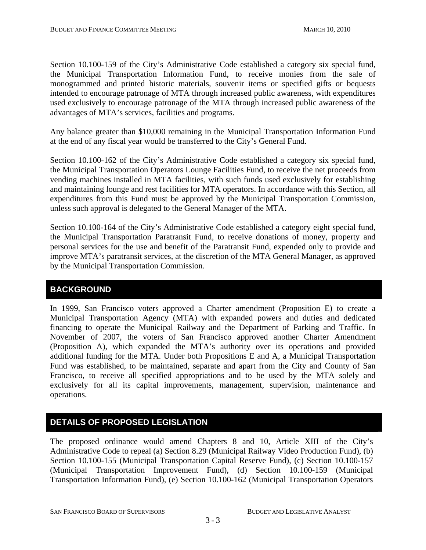Section 10.100-159 of the City's Administrative Code established a category six special fund, the Municipal Transportation Information Fund, to receive monies from the sale of monogrammed and printed historic materials, souvenir items or specified gifts or bequests intended to encourage patronage of MTA through increased public awareness, with expenditures used exclusively to encourage patronage of the MTA through increased public awareness of the advantages of MTA's services, facilities and programs.

Any balance greater than \$10,000 remaining in the Municipal Transportation Information Fund at the end of any fiscal year would be transferred to the City's General Fund.

Section 10.100-162 of the City's Administrative Code established a category six special fund, the Municipal Transportation Operators Lounge Facilities Fund, to receive the net proceeds from vending machines installed in MTA facilities, with such funds used exclusively for establishing and maintaining lounge and rest facilities for MTA operators. In accordance with this Section, all expenditures from this Fund must be approved by the Municipal Transportation Commission, unless such approval is delegated to the General Manager of the MTA.

Section 10.100-164 of the City's Administrative Code established a category eight special fund, the Municipal Transportation Paratransit Fund, to receive donations of money, property and personal services for the use and benefit of the Paratransit Fund, expended only to provide and improve MTA's paratransit services, at the discretion of the MTA General Manager, as approved by the Municipal Transportation Commission.

## **BACKGROUND**

In 1999, San Francisco voters approved a Charter amendment (Proposition E) to create a Municipal Transportation Agency (MTA) with expanded powers and duties and dedicated financing to operate the Municipal Railway and the Department of Parking and Traffic. In November of 2007, the voters of San Francisco approved another Charter Amendment (Proposition A), which expanded the MTA's authority over its operations and provided additional funding for the MTA. Under both Propositions E and A, a Municipal Transportation Fund was established, to be maintained, separate and apart from the City and County of San Francisco, to receive all specified appropriations and to be used by the MTA solely and exclusively for all its capital improvements, management, supervision, maintenance and operations.

## **DETAILS OF PROPOSED LEGISLATION**

The proposed ordinance would amend Chapters 8 and 10, Article XIII of the City's Administrative Code to repeal (a) Section 8.29 (Municipal Railway Video Production Fund), (b) Section 10.100-155 (Municipal Transportation Capital Reserve Fund), (c) Section 10.100-157 (Municipal Transportation Improvement Fund), (d) Section 10.100-159 (Municipal Transportation Information Fund), (e) Section 10.100-162 (Municipal Transportation Operators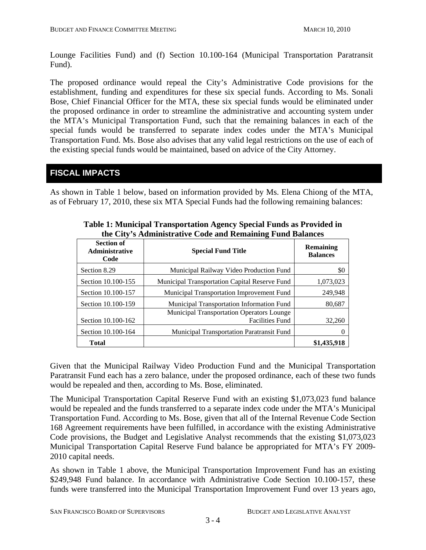Lounge Facilities Fund) and (f) Section 10.100-164 (Municipal Transportation Paratransit Fund).

The proposed ordinance would repeal the City's Administrative Code provisions for the establishment, funding and expenditures for these six special funds. According to Ms. Sonali Bose, Chief Financial Officer for the MTA, these six special funds would be eliminated under the proposed ordinance in order to streamline the administrative and accounting system under the MTA's Municipal Transportation Fund, such that the remaining balances in each of the special funds would be transferred to separate index codes under the MTA's Municipal Transportation Fund. Ms. Bose also advises that any valid legal restrictions on the use of each of the existing special funds would be maintained, based on advice of the City Attorney.

## **FISCAL IMPACTS**

As shown in Table 1 below, based on information provided by Ms. Elena Chiong of the MTA, as of February 17, 2010, these six MTA Special Funds had the following remaining balances:

| <b>Section of</b><br><b>Administrative</b><br>Code | <b>Special Fund Title</b>                            | <b>Remaining</b><br><b>Balances</b> |
|----------------------------------------------------|------------------------------------------------------|-------------------------------------|
| Section 8.29                                       | Municipal Railway Video Production Fund              | \$0                                 |
| Section 10.100-155                                 | <b>Municipal Transportation Capital Reserve Fund</b> | 1,073,023                           |
| Section 10.100-157                                 | Municipal Transportation Improvement Fund            | 249,948                             |
| Section 10.100-159                                 | Municipal Transportation Information Fund            | 80,687                              |
|                                                    | <b>Municipal Transportation Operators Lounge</b>     |                                     |
| Section 10.100-162                                 | <b>Facilities Fund</b>                               | 32,260                              |
| Section 10.100-164                                 | Municipal Transportation Paratransit Fund            |                                     |
| Total                                              |                                                      | \$1,435,918                         |

**Table 1: Municipal Transportation Agency Special Funds as Provided in the City's Administrative Code and Remaining Fund Balances** 

Given that the Municipal Railway Video Production Fund and the Municipal Transportation Paratransit Fund each has a zero balance, under the proposed ordinance, each of these two funds would be repealed and then, according to Ms. Bose, eliminated.

The Municipal Transportation Capital Reserve Fund with an existing \$1,073,023 fund balance would be repealed and the funds transferred to a separate index code under the MTA's Municipal Transportation Fund. According to Ms. Bose, given that all of the Internal Revenue Code Section 168 Agreement requirements have been fulfilled, in accordance with the existing Administrative Code provisions, the Budget and Legislative Analyst recommends that the existing \$1,073,023 Municipal Transportation Capital Reserve Fund balance be appropriated for MTA's FY 2009- 2010 capital needs.

As shown in Table 1 above, the Municipal Transportation Improvement Fund has an existing \$249,948 Fund balance. In accordance with Administrative Code Section 10.100-157, these funds were transferred into the Municipal Transportation Improvement Fund over 13 years ago,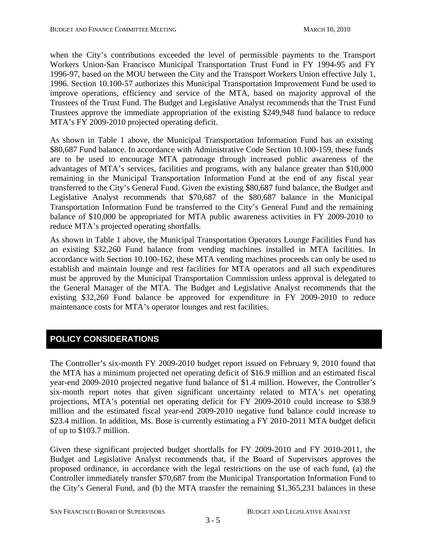when the City's contributions exceeded the level of permissible payments to the Transport Workers Union-San Francisco Municipal Transportation Trust Fund in FY 1994-95 and FY 1996-97, based on the MOU between the City and the Transport Workers Union effective July 1, 1996. Section 10.100-57 authorizes this Municipal Transportation Improvement Fund be used to improve operations, efficiency and service of the MTA, based on majority approval of the Trustees of the Trust Fund. The Budget and Legislative Analyst recommends that the Trust Fund Trustees approve the immediate appropriation of the existing \$249,948 fund balance to reduce MTA's FY 2009-2010 projected operating deficit.

As shown in Table 1 above, the Municipal Transportation Information Fund has an existing \$80,687 Fund balance. In accordance with Administrative Code Section 10.100-159, these funds are to be used to encourage MTA patronage through increased public awareness of the advantages of MTA's services, facilities and programs, with any balance greater than \$10,000 remaining in the Municipal Transportation Information Fund at the end of any fiscal year transferred to the City's General Fund. Given the existing \$80,687 fund balance, the Budget and Legislative Analyst recommends that \$70,687 of the \$80,687 balance in the Municipal Transportation Information Fund be transferred to the City's General Fund and the remaining balance of \$10,000 be appropriated for MTA public awareness activities in FY 2009-2010 to reduce MTA's projected operating shortfalls.

As shown in Table 1 above, the Municipal Transportation Operators Lounge Facilities Fund has an existing \$32,260 Fund balance from vending machines installed in MTA facilities. In accordance with Section 10.100-162, these MTA vending machines proceeds can only be used to establish and maintain lounge and rest facilities for MTA operators and all such expenditures must be approved by the Municipal Transportation Commission unless approval is delegated to the General Manager of the MTA. The Budget and Legislative Analyst recommends that the existing \$32,260 Fund balance be approved for expenditure in FY 2009-2010 to reduce maintenance costs for MTA's operator lounges and rest facilities.

## **POLICY CONSIDERATIONS**

The Controller's six-month FY 2009-2010 budget report issued on February 9, 2010 found that the MTA has a minimum projected net operating deficit of \$16.9 million and an estimated fiscal year-end 2009-2010 projected negative fund balance of \$1.4 million. However, the Controller's six-month report notes that given significant uncertainty related to MTA's net operating projections, MTA's potential net operating deficit for FY 2009-2010 could increase to \$38.9 million and the estimated fiscal year-end 2009-2010 negative fund balance could increase to \$23.4 million. In addition, Ms. Bose is currently estimating a FY 2010-2011 MTA budget deficit of up to \$103.7 million.

Given these significant projected budget shortfalls for FY 2009-2010 and FY 2010-2011, the Budget and Legislative Analyst recommends that, if the Board of Supervisors approves the proposed ordinance, in accordance with the legal restrictions on the use of each fund, (a) the Controller immediately transfer \$70,687 from the Municipal Transportation Information Fund to the City's General Fund, and (b) the MTA transfer the remaining \$1,365,231 balances in these